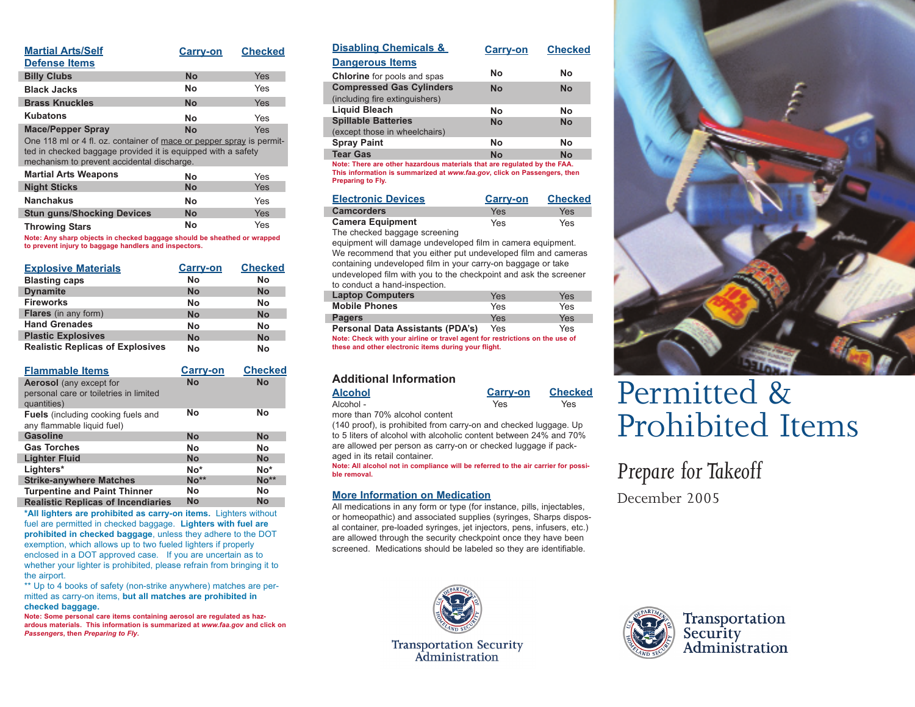| <b>Martial Arts/Self</b><br><b>Defense Items</b>                                                                                                                                   | <b>Carry-on</b> | <b>Checked</b> |
|------------------------------------------------------------------------------------------------------------------------------------------------------------------------------------|-----------------|----------------|
| <b>Billy Clubs</b>                                                                                                                                                                 | <b>No</b>       | Yes            |
| <b>Black Jacks</b>                                                                                                                                                                 | Nο              | Yes            |
| <b>Brass Knuckles</b>                                                                                                                                                              | <b>No</b>       | Yes            |
| Kubatons                                                                                                                                                                           | Nο              | Yes            |
| <b>Mace/Pepper Spray</b>                                                                                                                                                           | <b>No</b>       | Yes            |
| One 118 ml or 4 fl. oz. container of mace or pepper spray is permit-<br>ted in checked baggage provided it is equipped with a safety<br>mechanism to prevent accidental discharge. |                 |                |
| <b>Martial Arts Weapons</b>                                                                                                                                                        | No              | Yes            |
| <b>Night Sticks</b>                                                                                                                                                                | <b>No</b>       | Yes            |
| <b>Nanchakus</b>                                                                                                                                                                   | Nο              | Yes            |

**Throwing Stars Note: Any sharp objects in checked baggage should be sheathed or wrapped to prevent injury to baggage handlers and inspectors. No** Yes

**No** Yes

**Stun guns/Shocking Devices** 

| <b>Explosive Materials</b>              | <b>Carry-on</b> | <b>Checked</b> |
|-----------------------------------------|-----------------|----------------|
| <b>Blasting caps</b>                    | No              | No             |
| <b>Dynamite</b>                         | <b>No</b>       | No             |
| <b>Fireworks</b>                        | No              | No             |
| <b>Flares</b> (in any form)             | <b>No</b>       | No             |
| <b>Hand Grenades</b>                    | No              | No             |
| <b>Plastic Explosives</b>               | <b>No</b>       | No             |
| <b>Realistic Replicas of Explosives</b> | No              | No             |

| <b>Flammable Items</b>                                                                  | <b>Carry-on</b> | <b>Checked</b> |
|-----------------------------------------------------------------------------------------|-----------------|----------------|
| <b>Aerosol</b> (any except for<br>personal care or toiletries in limited<br>quantities) | <b>No</b>       | <b>No</b>      |
| <b>Fuels</b> (including cooking fuels and<br>any flammable liquid fuel)                 | Nο              | No             |
| <b>Gasoline</b>                                                                         | <b>No</b>       | <b>No</b>      |
| <b>Gas Torches</b>                                                                      | No              | No             |
| <b>Lighter Fluid</b>                                                                    | <b>No</b>       | <b>No</b>      |
| Lighters*                                                                               | $No*$           | $No*$          |
| <b>Strike-anywhere Matches</b>                                                          | $No**$          | $No**$         |
| <b>Turpentine and Paint Thinner</b>                                                     | Nο              | No             |
| <b>Realistic Replicas of Incendiaries</b>                                               | No              | No             |
|                                                                                         |                 |                |

**\*All lighters are prohibited as carry-on items.** Lighters without fuel are permitted in checked baggage. **Lighters with fuel are prohibited in checked baggage**, unless they adhere to the DOT exemption, which allows up to two fueled lighters if properly enclosed in a DOT approved case. If you are uncertain as to whether your lighter is prohibited, please refrain from bringing it to the airport.

\*\* Up to 4 books of safety (non-strike anywhere) matches are permitted as carry-on items, **but all matches are prohibited in checked baggage.**

**Note: Some personal care items containing aerosol are regulated as hazardous materials. This information is summarized at** *www.faa.gov* **and click on** *Passengers***, then** *Preparing to Fly***.** 

| <b>Disabling Chemicals &amp;</b>   | <b>Carry-on</b> | <b>Checked</b> |
|------------------------------------|-----------------|----------------|
| <b>Dangerous Items</b>             |                 |                |
| <b>Chlorine</b> for pools and spas | Nο              | Nο             |
| <b>Compressed Gas Cylinders</b>    | <b>No</b>       | <b>No</b>      |
| (including fire extinguishers)     |                 |                |
| <b>Liquid Bleach</b>               | Nο              | Nο             |
| <b>Spillable Batteries</b>         | <b>No</b>       | <b>No</b>      |
| (except those in wheelchairs)      |                 |                |
| <b>Spray Paint</b>                 | No              | No             |
| <b>Tear Gas</b>                    | No              | No             |

**Note: There are other hazardous materials that are regulated by the FAA. This information is summarized at** *www.faa.gov***, click on Passengers, then Preparing to Fly.**

| <b>Electronic Devices</b>     | <b>Carry-on</b> | <b>Checked</b> |
|-------------------------------|-----------------|----------------|
| <b>Camcorders</b>             | Yes             | Yes            |
| <b>Camera Equipment</b>       | Yes             | Yes            |
| The checked baggage screening |                 |                |

equipment will damage undeveloped film in camera equipment. We recommend that you either put undeveloped film and cameras containing undeveloped film in your carry-on baggage or take undeveloped film with you to the checkpoint and ask the screener to conduct a hand-inspection.

| <b>Laptop Computers</b>                 | Yes | Yes |
|-----------------------------------------|-----|-----|
| <b>Mobile Phones</b>                    | Yes | Yes |
| <b>Pagers</b>                           | Yes | Yes |
| <b>Personal Data Assistants (PDA's)</b> | Yes | Yes |

**Note: Check with your airline or travel agent for restrictions on the use of these and other electronic items during your flight.**

### **Additional Information**

| <b>Alcohol</b> | <b>Carry-on</b> | <b>Checked</b> |
|----------------|-----------------|----------------|
| Alcohol -      | Yes             | Yes            |

more than 70% alcohol content

(140 proof), is prohibited from carry-on and checked luggage. Up to 5 liters of alcohol with alcoholic content between 24% and 70% are allowed per person as carry-on or checked luggage if packaged in its retail container.

**Note: All alcohol not in compliance will be referred to the air carrier for possible removal.**

### **More Information on Medication**

All medications in any form or type (for instance, pills, injectables, or homeopathic) and associated supplies (syringes, Sharps disposal container, pre-loaded syringes, jet injectors, pens, infusers, etc.) are allowed through the security checkpoint once they have been screened. Medications should be labeled so they are identifiable.



## Permitted & Prohibited Items

## *Prepare for Takeoff*

December 2005



**Transportation Security** Administration



Transportation Security<br>Administration